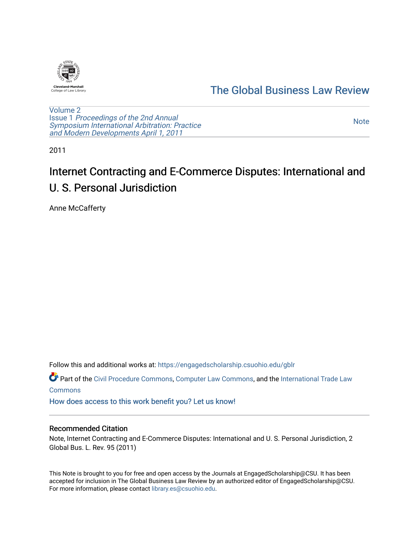

# [The Global Business Law Review](https://engagedscholarship.csuohio.edu/gblr)

[Volume 2](https://engagedscholarship.csuohio.edu/gblr/vol2) Issue 1 [Proceedings of the 2nd Annual](https://engagedscholarship.csuohio.edu/gblr/vol2/iss1)  [Symposium International Arbitration: Practice](https://engagedscholarship.csuohio.edu/gblr/vol2/iss1)  [and Modern Developments April 1, 2011](https://engagedscholarship.csuohio.edu/gblr/vol2/iss1) 

**Note** 

2011

# Internet Contracting and E-Commerce Disputes: International and U. S. Personal Jurisdiction

Anne McCafferty

Follow this and additional works at: [https://engagedscholarship.csuohio.edu/gblr](https://engagedscholarship.csuohio.edu/gblr?utm_source=engagedscholarship.csuohio.edu%2Fgblr%2Fvol2%2Fiss1%2F8&utm_medium=PDF&utm_campaign=PDFCoverPages)

Part of the [Civil Procedure Commons,](http://network.bepress.com/hgg/discipline/584?utm_source=engagedscholarship.csuohio.edu%2Fgblr%2Fvol2%2Fiss1%2F8&utm_medium=PDF&utm_campaign=PDFCoverPages) [Computer Law Commons](http://network.bepress.com/hgg/discipline/837?utm_source=engagedscholarship.csuohio.edu%2Fgblr%2Fvol2%2Fiss1%2F8&utm_medium=PDF&utm_campaign=PDFCoverPages), and the [International Trade Law](http://network.bepress.com/hgg/discipline/848?utm_source=engagedscholarship.csuohio.edu%2Fgblr%2Fvol2%2Fiss1%2F8&utm_medium=PDF&utm_campaign=PDFCoverPages)  [Commons](http://network.bepress.com/hgg/discipline/848?utm_source=engagedscholarship.csuohio.edu%2Fgblr%2Fvol2%2Fiss1%2F8&utm_medium=PDF&utm_campaign=PDFCoverPages)

[How does access to this work benefit you? Let us know!](http://library.csuohio.edu/engaged/)

# Recommended Citation

Note, Internet Contracting and E-Commerce Disputes: International and U. S. Personal Jurisdiction, 2 Global Bus. L. Rev. 95 (2011)

This Note is brought to you for free and open access by the Journals at EngagedScholarship@CSU. It has been accepted for inclusion in The Global Business Law Review by an authorized editor of EngagedScholarship@CSU. For more information, please contact [library.es@csuohio.edu.](mailto:library.es@csuohio.edu)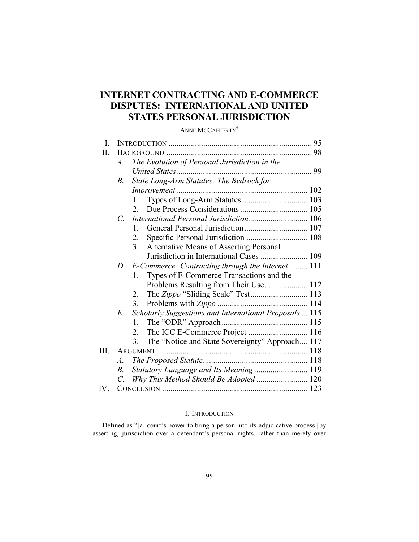# **INTERNET CONTRACTING AND E-COMMERCE DISPUTES: INTERNATIONAL AND UNITED STATES PERSONAL JURISDICTION**

# ANNE MCCAFFERTY<sup>†</sup>

| L    |                |                                                        |  |
|------|----------------|--------------------------------------------------------|--|
| Н.   |                |                                                        |  |
|      | A.             | The Evolution of Personal Jurisdiction in the          |  |
|      |                |                                                        |  |
|      | В.             | State Long-Arm Statutes: The Bedrock for               |  |
|      |                |                                                        |  |
|      |                | $\mathbf{1}$                                           |  |
|      |                | 2                                                      |  |
|      | $C_{\cdot}$    |                                                        |  |
|      |                | $\mathbf{1}$                                           |  |
|      |                | 2.                                                     |  |
|      |                | Alternative Means of Asserting Personal<br>3.          |  |
|      |                | Jurisdiction in International Cases  109               |  |
|      | D.             | E-Commerce: Contracting through the Internet 111       |  |
|      |                | Types of E-Commerce Transactions and the<br>$1_{-}$    |  |
|      |                | Problems Resulting from Their Use 112                  |  |
|      |                | 2.                                                     |  |
|      |                | 3.                                                     |  |
|      | E.             | Scholarly Suggestions and International Proposals  115 |  |
|      |                | $\mathbf{1}$                                           |  |
|      |                | 2.                                                     |  |
|      |                | The "Notice and State Sovereignty" Approach 117<br>3.  |  |
| III. |                | ARGUMENT.                                              |  |
|      | A.             |                                                        |  |
|      | В.             | Statutory Language and Its Meaning  119                |  |
|      | $\overline{C}$ | Why This Method Should Be Adopted  120                 |  |
| IV.  |                |                                                        |  |

# I. INTRODUCTION

Defined as "[a] court's power to bring a person into its adjudicative process [by asserting] jurisdiction over a defendant's personal rights, rather than merely over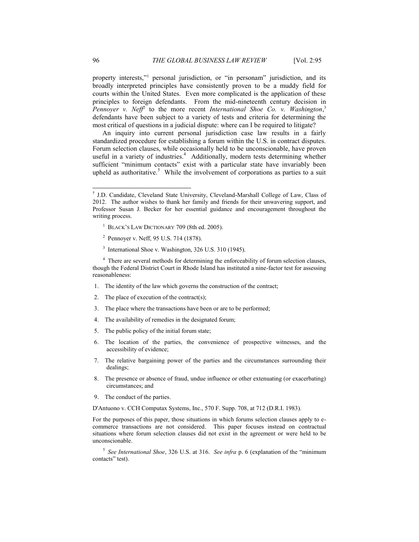property interests,"<sup>1</sup> personal jurisdiction, or "in personam" jurisdiction, and its broadly interpreted principles have consistently proven to be a muddy field for courts within the United States. Even more complicated is the application of these principles to foreign defendants. From the mid-nineteenth century decision in Pennoyer v. Neff<sup>2</sup> to the more recent *International Shoe Co. v. Washington*,<sup>3</sup> defendants have been subject to a variety of tests and criteria for determining the most critical of questions in a judicial dispute: where can I be required to litigate?

An inquiry into current personal jurisdiction case law results in a fairly standardized procedure for establishing a forum within the U.S. in contract disputes. Forum selection clauses, while occasionally held to be unconscionable, have proven useful in a variety of industries.<sup>4</sup> Additionally, modern tests determining whether sufficient "minimum contacts" exist with a particular state have invariably been upheld as authoritative.<sup>5</sup> While the involvement of corporations as parties to a suit

- $1$  BLACK's LAW DICTIONARY 709 (8th ed. 2005).
- 2 Pennoyer v. Neff, 95 U.S. 714 (1878).
- <sup>3</sup> International Shoe v. Washington, 326 U.S. 310 (1945).

<sup>4</sup> There are several methods for determining the enforceability of forum selection clauses, though the Federal District Court in Rhode Island has instituted a nine-factor test for assessing reasonableness:

- 1. The identity of the law which governs the construction of the contract;
- 2. The place of execution of the contract(s);
- 3. The place where the transactions have been or are to be performed;
- 4. The availability of remedies in the designated forum;
- 5. The public policy of the initial forum state;
- 6. The location of the parties, the convenience of prospective witnesses, and the accessibility of evidence;
- 7. The relative bargaining power of the parties and the circumstances surrounding their dealings;
- 8. The presence or absence of fraud, undue influence or other extenuating (or exacerbating) circumstances; and
- 9. The conduct of the parties.

D'Antuono v. CCH Computax Systems, Inc., 570 F. Supp. 708, at 712 (D.R.I. 1983).

For the purposes of this paper, those situations in which forums selection clauses apply to ecommerce transactions are not considered. This paper focuses instead on contractual situations where forum selection clauses did not exist in the agreement or were held to be unconscionable.

5 *See International Shoe*, 326 U.S. at 316. *See infra* p. 6 (explanation of the "minimum contacts" test).

<sup>†</sup> J.D. Candidate, Cleveland State University, Cleveland-Marshall College of Law, Class of 2012. The author wishes to thank her family and friends for their unwavering support, and Professor Susan J. Becker for her essential guidance and encouragement throughout the writing process.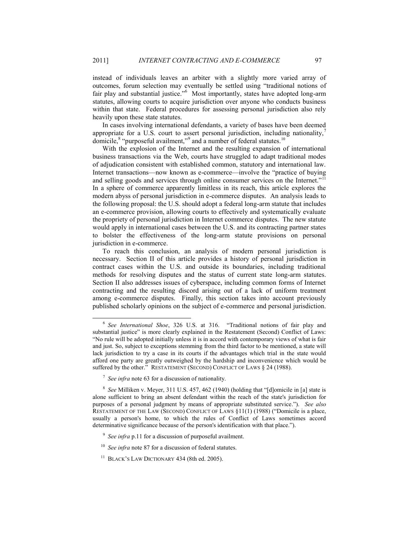instead of individuals leaves an arbiter with a slightly more varied array of outcomes, forum selection may eventually be settled using "traditional notions of fair play and substantial justice."<sup>6</sup> Most importantly, states have adopted long-arm statutes, allowing courts to acquire jurisdiction over anyone who conducts business within that state. Federal procedures for assessing personal jurisdiction also rely heavily upon these state statutes.

In cases involving international defendants, a variety of bases have been deemed appropriate for a U.S. court to assert personal jurisdiction, including nationality, domicile,<sup>8</sup> "purposeful availment,"<sup>9</sup> and a number of federal statutes.<sup>10</sup>

With the explosion of the Internet and the resulting expansion of international business transactions via the Web, courts have struggled to adapt traditional modes of adjudication consistent with established common, statutory and international law. Internet transactions—now known as e-commerce—involve the "practice of buying and selling goods and services through online consumer services on the Internet."<sup>11</sup> In a sphere of commerce apparently limitless in its reach, this article explores the modern abyss of personal jurisdiction in e-commerce disputes. An analysis leads to the following proposal: the U.S. should adopt a federal long-arm statute that includes an e-commerce provision, allowing courts to effectively and systematically evaluate the propriety of personal jurisdiction in Internet commerce disputes. The new statute would apply in international cases between the U.S. and its contracting partner states to bolster the effectiveness of the long-arm statute provisions on personal jurisdiction in e-commerce.

To reach this conclusion, an analysis of modern personal jurisdiction is necessary. Section II of this article provides a history of personal jurisdiction in contract cases within the U.S. and outside its boundaries, including traditional methods for resolving disputes and the status of current state long-arm statutes. Section II also addresses issues of cyberspace, including common forms of Internet contracting and the resulting discord arising out of a lack of uniform treatment among e-commerce disputes. Finally, this section takes into account previously published scholarly opinions on the subject of e-commerce and personal jurisdiction.

<sup>&</sup>lt;sup>6</sup> See International Shoe, 326 U.S. at 316. "Traditional notions of fair play and substantial justice" is more clearly explained in the Restatement (Second) Conflict of Laws: "No rule will be adopted initially unless it is in accord with contemporary views of what is fair and just. So, subject to exceptions stemming from the third factor to be mentioned, a state will lack jurisdiction to try a case in its courts if the advantages which trial in the state would afford one party are greatly outweighed by the hardship and inconvenience which would be suffered by the other." RESTATEMENT (SECOND) CONFLICT OF LAWS § 24 (1988).

<sup>&</sup>lt;sup>7</sup> See infra note 63 for a discussion of nationality.

<sup>8</sup> *See* Milliken v. Meyer, 311 U.S. 457, 462 (1940) (holding that "[d]omicile in [a] state is alone sufficient to bring an absent defendant within the reach of the state's jurisdiction for purposes of a personal judgment by means of appropriate substituted service."). *See also* RESTATEMENT OF THE LAW (SECOND) CONFLICT OF LAWS §11(1) (1988) ("Domicile is a place, usually a person's home, to which the rules of Conflict of Laws sometimes accord determinative significance because of the person's identification with that place.").

<sup>&</sup>lt;sup>9</sup> See infra p.11 for a discussion of purposeful availment.

<sup>&</sup>lt;sup>10</sup> *See infra* note 87 for a discussion of federal statutes.

<sup>&</sup>lt;sup>11</sup> BLACK's LAW DICTIONARY 434 (8th ed. 2005).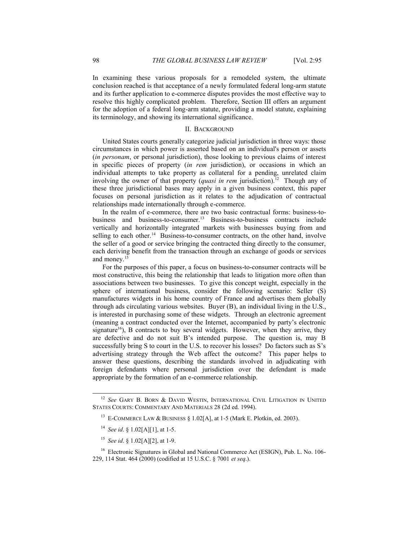In examining these various proposals for a remodeled system, the ultimate conclusion reached is that acceptance of a newly formulated federal long-arm statute and its further application to e-commerce disputes provides the most effective way to resolve this highly complicated problem. Therefore, Section III offers an argument for the adoption of a federal long-arm statute, providing a model statute, explaining its terminology, and showing its international significance.

#### II. BACKGROUND

United States courts generally categorize judicial jurisdiction in three ways: those circumstances in which power is asserted based on an individual's person or assets (*in personam*, or personal jurisdiction), those looking to previous claims of interest in specific pieces of property (*in rem* jurisdiction), or occasions in which an individual attempts to take property as collateral for a pending, unrelated claim involving the owner of that property (*quasi in rem* jurisdiction).<sup>12</sup> Though any of these three jurisdictional bases may apply in a given business context, this paper focuses on personal jurisdiction as it relates to the adjudication of contractual relationships made internationally through e-commerce.

In the realm of e-commerce, there are two basic contractual forms: business-tobusiness and business-to-consumer.<sup>13</sup> Business-to-business contracts include vertically and horizontally integrated markets with businesses buying from and selling to each other.<sup>14</sup> Business-to-consumer contracts, on the other hand, involve the seller of a good or service bringing the contracted thing directly to the consumer, each deriving benefit from the transaction through an exchange of goods or services and money.<sup>15</sup>

For the purposes of this paper, a focus on business-to-consumer contracts will be most constructive, this being the relationship that leads to litigation more often than associations between two businesses. To give this concept weight, especially in the sphere of international business, consider the following scenario: Seller (S) manufactures widgets in his home country of France and advertises them globally through ads circulating various websites. Buyer (B), an individual living in the U.S., is interested in purchasing some of these widgets. Through an electronic agreement (meaning a contract conducted over the Internet, accompanied by party's electronic signature<sup>16</sup>), B contracts to buy several widgets. However, when they arrive, they are defective and do not suit B's intended purpose. The question is, may B successfully bring S to court in the U.S. to recover his losses? Do factors such as S's advertising strategy through the Web affect the outcome? This paper helps to answer these questions, describing the standards involved in adjudicating with foreign defendants where personal jurisdiction over the defendant is made appropriate by the formation of an e-commerce relationship.

<sup>&</sup>lt;sup>12</sup> See GARY B. BORN & DAVID WESTIN, INTERNATIONAL CIVIL LITIGATION IN UNITED STATES COURTS: COMMENTARY AND MATERIALS 28 (2d ed. 1994).

<sup>&</sup>lt;sup>13</sup> E-COMMERCE LAW & BUSINESS § 1.02[A], at 1-5 (Mark E. Plotkin, ed. 2003).

<sup>14</sup> *See id*. § 1.02[A][1], at 1-5.

<sup>15</sup> *See id*. § 1.02[A][2], at 1-9.

<sup>&</sup>lt;sup>16</sup> Electronic Signatures in Global and National Commerce Act (ESIGN), Pub. L. No. 106-229, 114 Stat. 464 (2000) (codified at 15 U.S.C. § 7001 *et seq*.).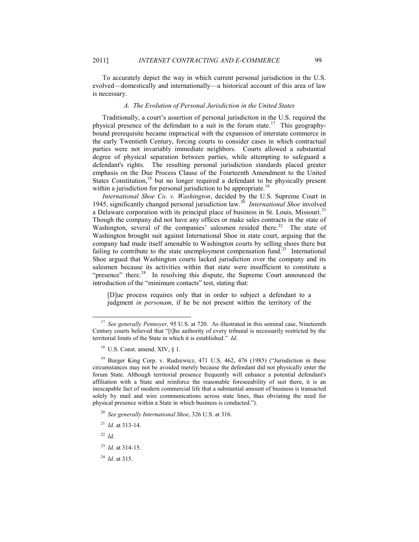To accurately depict the way in which current personal jurisdiction in the U.S. evolved—domestically and internationally—a historical account of this area of law is necessary.

# *A. The Evolution of Personal Jurisdiction in the United States*

Traditionally, a court's assertion of personal jurisdiction in the U.S. required the physical presence of the defendant to a suit in the forum state.<sup>17</sup> This geographybound prerequisite became impractical with the expansion of interstate commerce in the early Twentieth Century, forcing courts to consider cases in which contractual parties were not invariably immediate neighbors. Courts allowed a substantial degree of physical separation between parties, while attempting to safeguard a defendant's rights. The resulting personal jurisdiction standards placed greater emphasis on the Due Process Clause of the Fourteenth Amendment to the United States Constitution,<sup>18</sup> but no longer required a defendant to be physically present within a jurisdiction for personal jurisdiction to be appropriate.<sup>19</sup>

*International Shoe Co. v. Washington*, decided by the U.S. Supreme Court in 1945, significantly changed personal jurisdiction law.<sup>20</sup> International Shoe involved a Delaware corporation with its principal place of business in St. Louis, Missouri.<sup>21</sup> Though the company did not have any offices or make sales contracts in the state of Washington, several of the companies' salesmen resided there.<sup>22</sup> The state of Washington brought suit against International Shoe in state court, arguing that the company had made itself amenable to Washington courts by selling shoes there but failing to contribute to the state unemployment compensation fund.<sup>23</sup> International Shoe argued that Washington courts lacked jurisdiction over the company and its salesmen because its activities within that state were insufficient to constitute a "presence" there. $24$  In resolving this dispute, the Supreme Court announced the introduction of the "minimum contacts" test, stating that:

[D]ue process requires only that in order to subject a defendant to a judgment *in personam*, if he be not present within the territory of the

<sup>22</sup> *Id*.

<sup>&</sup>lt;sup>17</sup> *See generally Pennoyer*, 95 U.S. at 720. As illustrated in this seminal case, Nineteenth Century courts believed that "[t]he authority of every tribunal is necessarily restricted by the territorial limits of the State in which it is established." *Id*.

 $18$  U.S. Const. amend. XIV, § 1.

<sup>&</sup>lt;sup>19</sup> Burger King Corp. v. Rudzewicz, 471 U.S. 462, 476 (1985) ("Jurisdiction in these circumstances may not be avoided merely because the defendant did not physically enter the forum State. Although territorial presence frequently will enhance a potential defendant's affiliation with a State and reinforce the reasonable foreseeability of suit there, it is an inescapable fact of modern commercial life that a substantial amount of business is transacted solely by mail and wire communications across state lines, thus obviating the need for physical presence within a State in which business is conducted.").

<sup>20</sup> *See generally International Shoe*, 326 U.S. at 316.

<sup>21</sup> *Id*. at 313-14.

<sup>23</sup> *Id*. at 314-15.

<sup>24</sup> *Id*. at 315.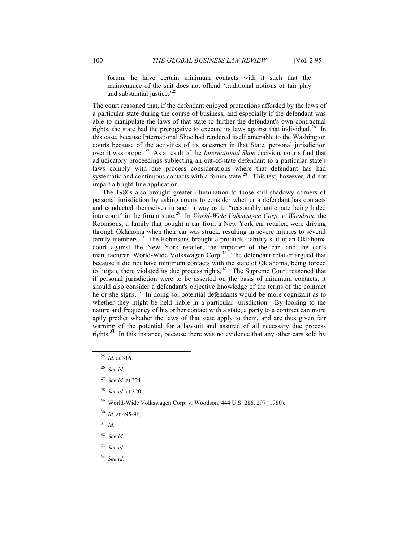forum, he have certain minimum contacts with it such that the maintenance of the suit does not offend 'traditional notions of fair play and substantial justice.<sup>25</sup>

The court reasoned that, if the defendant enjoyed protections afforded by the laws of a particular state during the course of business, and especially if the defendant was able to manipulate the laws of that state to further the defendant's own contractual rights, the state had the prerogative to execute its laws against that individual.<sup>26</sup> In this case, because International Shoe had rendered itself amenable to the Washington courts because of the activities of its salesmen in that State, personal jurisdiction over it was proper.<sup>27</sup> As a result of the *International Shoe* decision, courts find that adjudicatory proceedings subjecting an out-of-state defendant to a particular state's laws comply with due process considerations where that defendant has had systematic and continuous contacts with a forum state.<sup>28</sup> This test, however, did not impart a bright-line application.

The 1980s also brought greater illumination to those still shadowy corners of personal jurisdiction by asking courts to consider whether a defendant has contacts and conducted themselves in such a way as to "reasonably anticipate being haled into court" in the forum state.<sup>29</sup> In *World-Wide Volkswagen Corp. v. Woodson*, the Robinsons, a family that bought a car from a New York car retailer, were driving through Oklahoma when their car was struck, resulting in severe injuries to several family members.<sup>30</sup> The Robinsons brought a products-liability suit in an Oklahoma court against the New York retailer, the importer of the car, and the car's manufacturer, World-Wide Volkswagen Corp.<sup>31</sup> The defendant retailer argued that because it did not have minimum contacts with the state of Oklahoma, being forced to litigate there violated its due process rights.<sup>32</sup> The Supreme Court reasoned that if personal jurisdiction were to be asserted on the basis of minimum contacts, it should also consider a defendant's objective knowledge of the terms of the contract he or she signs.<sup>33</sup> In doing so, potential defendants would be more cognizant as to whether they might be held liable in a particular jurisdiction. By looking to the nature and frequency of his or her contact with a state, a party to a contract can more aptly predict whether the laws of that state apply to them, and are thus given fair warning of the potential for a lawsuit and assured of all necessary due process rights.<sup>34</sup> In this instance, because there was no evidence that any other cars sold by

- <sup>28</sup> *See id*. at 320.
- <sup>29</sup> World-Wide Volkswagen Corp. v. Woodson, 444 U.S. 286, 297 (1980).
- <sup>30</sup> *Id*. at 495-96.
- <sup>31</sup> *Id*.
- <sup>32</sup> *See id*.
- <sup>33</sup> *See id*.
- <sup>34</sup> *See id*.

<sup>25</sup> *Id*. at 316.

<sup>26</sup> *See id*.

<sup>27</sup> *See id*. at 321.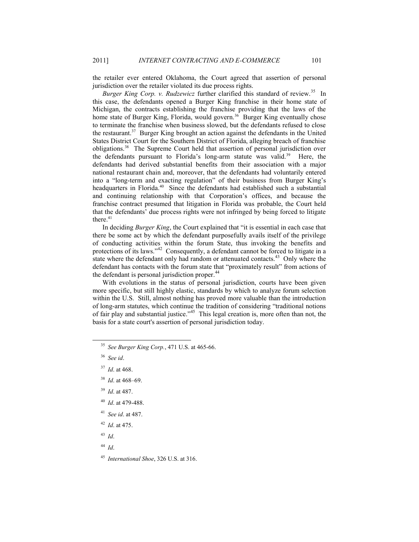the retailer ever entered Oklahoma, the Court agreed that assertion of personal jurisdiction over the retailer violated its due process rights.

Burger King Corp. v. Rudzewicz further clarified this standard of review.<sup>35</sup> In this case, the defendants opened a Burger King franchise in their home state of Michigan, the contracts establishing the franchise providing that the laws of the home state of Burger King, Florida, would govern.<sup>36</sup> Burger King eventually chose to terminate the franchise when business slowed, but the defendants refused to close the restaurant.<sup>37</sup> Burger King brought an action against the defendants in the United States District Court for the Southern District of Florida, alleging breach of franchise obligations.<sup>38</sup> The Supreme Court held that assertion of personal jurisdiction over the defendants pursuant to Florida's long-arm statute was valid.<sup>39</sup> Here, the defendants had derived substantial benefits from their association with a major national restaurant chain and, moreover, that the defendants had voluntarily entered into a "long-term and exacting regulation" of their business from Burger King's headquarters in Florida.<sup>40</sup> Since the defendants had established such a substantial and continuing relationship with that Corporation's offices, and because the franchise contract presumed that litigation in Florida was probable, the Court held that the defendants' due process rights were not infringed by being forced to litigate there. $41$ 

In deciding *Burger King*, the Court explained that "it is essential in each case that there be some act by which the defendant purposefully avails itself of the privilege of conducting activities within the forum State, thus invoking the benefits and protections of its laws."<sup>42</sup> Consequently, a defendant cannot be forced to litigate in a state where the defendant only had random or attenuated contacts.<sup>43</sup> Only where the defendant has contacts with the forum state that "proximately result" from actions of the defendant is personal jurisdiction proper.<sup>44</sup>

With evolutions in the status of personal jurisdiction, courts have been given more specific, but still highly elastic, standards by which to analyze forum selection within the U.S. Still, almost nothing has proved more valuable than the introduction of long-arm statutes, which continue the tradition of considering "traditional notions of fair play and substantial justice.<sup>345</sup> This legal creation is, more often than not, the basis for a state court's assertion of personal jurisdiction today.

<sup>36</sup> *See id*.

l

<sup>37</sup> *Id*. at 468.

<sup>38</sup> *Id*. at 468–69.

- <sup>39</sup> *Id*. at 487.
- <sup>40</sup> *Id*. at 479-488.
- <sup>41</sup> *See id*. at 487.
- <sup>42</sup> *Id*. at 475.

<sup>43</sup> *Id*.

- <sup>44</sup> *Id*.
- <sup>45</sup> *International Shoe*, 326 U.S. at 316.

<sup>35</sup> *See Burger King Corp.*, 471 U.S. at 465-66.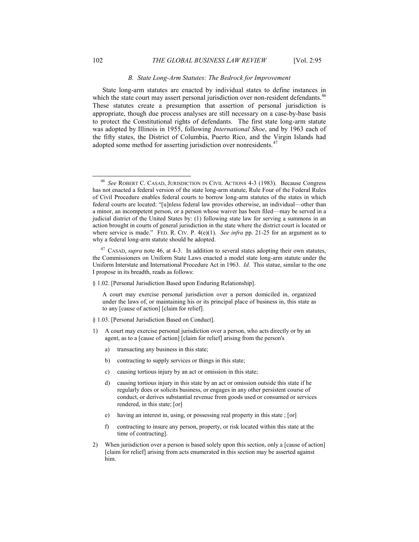#### *B. State Long-Arm Statutes: The Bedrock for Improvement*

State long-arm statutes are enacted by individual states to define instances in which the state court may assert personal jurisdiction over non-resident defendants.<sup>46</sup> These statutes create a presumption that assertion of personal jurisdiction is appropriate, though due process analyses are still necessary on a case-by-base basis to protect the Constitutional rights of defendants. The first state long-arm statute was adopted by Illinois in 1955, following *International Shoe*, and by 1963 each of the fifty states, the District of Columbia, Puerto Rico, and the Virgin Islands had adopted some method for asserting jurisdiction over nonresidents.<sup>4</sup>

§ 1.02. [Personal Jurisdiction Based upon Enduring Relationship].

- § 1.03. [Personal Jurisdiction Based on Conduct].
- 1) A court may exercise personal jurisdiction over a person, who acts directly or by an agent, as to a [cause of action] [claim for relief] arising from the person's
	- a) transacting any business in this state;
	- b) contracting to supply services or things in this state;
	- c) causing tortious injury by an act or omission in this state;
	- d) causing tortious injury in this state by an act or omission outside this state if he regularly does or solicits business, or engages in any other persistent course of conduct, or derives substantial revenue from goods used or consumed or services rendered, in this state; [or]
	- e) having an interest in, using, or possessing real property in this state ; [or]
	- f) contracting to insure any person, property, or risk located within this state at the time of contracting].
- 2) When jurisdiction over a person is based solely upon this section, only a [cause of action] [claim for relief] arising from acts enumerated in this section may be asserted against him.

<sup>46</sup> *See* ROBERT C. CASAD, JURISDICTION IN CIVIL ACTIONS 4-3 (1983). Because Congress has not enacted a federal version of the state long-arm statute, Rule Four of the Federal Rules of Civil Procedure enables federal courts to borrow long-arm statutes of the states in which federal courts are located: "[u]nless federal law provides otherwise, an individual—other than a minor, an incompetent person, or a person whose waiver has been filed—may be served in a judicial district of the United States by: (1) following state law for serving a summons in an action brought in courts of general jurisdiction in the state where the district court is located or where service is made." FED. R. CIV. P. 4(e)(1). *See infra* pp. 21-25 for an argument as to why a federal long-arm statute should be adopted.

CASAD, *supra* note 46, at 4-3. In addition to several states adopting their own statutes, the Commissioners on Uniform State Laws enacted a model state long-arm statute under the Uniform Interstate and International Procedure Act in 1963. *Id*. This statue, similar to the one I propose in its breadth, reads as follows:

A court may exercise personal jurisdiction over a person domiciled in, organized under the laws of, or maintaining his or its principal place of business in, this state as to any [cause of action] [claim for relief].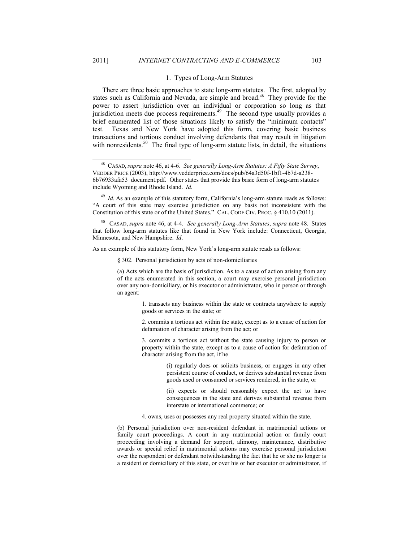l

#### 1. Types of Long-Arm Statutes

There are three basic approaches to state long-arm statutes. The first, adopted by states such as California and Nevada, are simple and broad.<sup>48</sup> They provide for the power to assert jurisdiction over an individual or corporation so long as that jurisdiction meets due process requirements.<sup>49</sup> The second type usually provides a brief enumerated list of those situations likely to satisfy the "minimum contacts" test. Texas and New York have adopted this form, covering basic business transactions and tortious conduct involving defendants that may result in litigation with nonresidents.<sup>50</sup> The final type of long-arm statute lists, in detail, the situations

<sup>49</sup> *Id*. As an example of this statutory form, California's long-arm statute reads as follows: "A court of this state may exercise jurisdiction on any basis not inconsistent with the Constitution of this state or of the United States." CAL. CODE CIV. PROC. § 410.10 (2011).

<sup>50</sup> CASAD, *supra* note 46, at 4-4. *See generally Long-Arm Statutes*, *supra* note 48. States that follow long-arm statutes like that found in New York include: Connecticut, Georgia, Minnesota, and New Hampshire. *Id*.

As an example of this statutory form, New York's long-arm statute reads as follows:

§ 302. Personal jurisdiction by acts of non-domiciliaries

(a) Acts which are the basis of jurisdiction. As to a cause of action arising from any of the acts enumerated in this section, a court may exercise personal jurisdiction over any non-domiciliary, or his executor or administrator, who in person or through an agent:

> 1. transacts any business within the state or contracts anywhere to supply goods or services in the state; or

> 2. commits a tortious act within the state, except as to a cause of action for defamation of character arising from the act; or

> 3. commits a tortious act without the state causing injury to person or property within the state, except as to a cause of action for defamation of character arising from the act, if he

> > (i) regularly does or solicits business, or engages in any other persistent course of conduct, or derives substantial revenue from goods used or consumed or services rendered, in the state, or

> > (ii) expects or should reasonably expect the act to have consequences in the state and derives substantial revenue from interstate or international commerce; or

4. owns, uses or possesses any real property situated within the state.

(b) Personal jurisdiction over non-resident defendant in matrimonial actions or family court proceedings. A court in any matrimonial action or family court proceeding involving a demand for support, alimony, maintenance, distributive awards or special relief in matrimonial actions may exercise personal jurisdiction over the respondent or defendant notwithstanding the fact that he or she no longer is a resident or domiciliary of this state, or over his or her executor or administrator, if

<sup>48</sup> CASAD, *supra* note 46, at 4-6. *See generally Long-Arm Statutes: A Fifty State Survey*, VEDDER PRICE (2003), http://www.vedderprice.com/docs/pub/64a3d50f-1bf1-4b7d-a238- 6b76933afa53\_document.pdf. Other states that provide this basic form of long-arm statutes include Wyoming and Rhode Island. *Id*.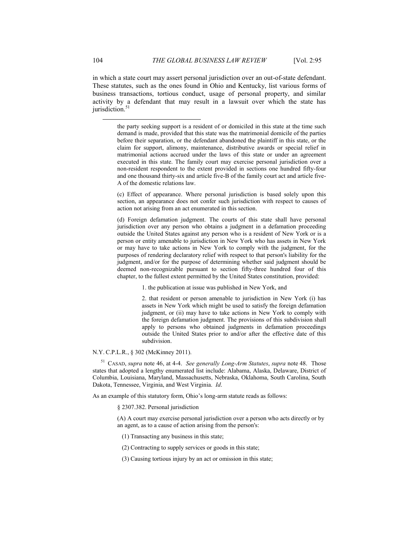in which a state court may assert personal jurisdiction over an out-of-state defendant. These statutes, such as the ones found in Ohio and Kentucky, list various forms of business transactions, tortious conduct, usage of personal property, and similar activity by a defendant that may result in a lawsuit over which the state has jurisdiction.<sup>51</sup>

(c) Effect of appearance. Where personal jurisdiction is based solely upon this section, an appearance does not confer such jurisdiction with respect to causes of action not arising from an act enumerated in this section.

(d) Foreign defamation judgment. The courts of this state shall have personal jurisdiction over any person who obtains a judgment in a defamation proceeding outside the United States against any person who is a resident of New York or is a person or entity amenable to jurisdiction in New York who has assets in New York or may have to take actions in New York to comply with the judgment, for the purposes of rendering declaratory relief with respect to that person's liability for the judgment, and/or for the purpose of determining whether said judgment should be deemed non-recognizable pursuant to section fifty-three hundred four of this chapter, to the fullest extent permitted by the United States constitution, provided:

1. the publication at issue was published in New York, and

2. that resident or person amenable to jurisdiction in New York (i) has assets in New York which might be used to satisfy the foreign defamation judgment, or (ii) may have to take actions in New York to comply with the foreign defamation judgment. The provisions of this subdivision shall apply to persons who obtained judgments in defamation proceedings outside the United States prior to and/or after the effective date of this subdivision.

N.Y. C.P.L.R., § 302 (McKinney 2011).

<sup>51</sup> CASAD, *supra* note 46, at 4-4. *See generally Long-Arm Statutes*, *supra* note 48. Those states that adopted a lengthy enumerated list include: Alabama, Alaska, Delaware, District of Columbia, Louisiana, Maryland, Massachusetts, Nebraska, Oklahoma, South Carolina, South Dakota, Tennessee, Virginia, and West Virginia. *Id*.

As an example of this statutory form, Ohio's long-arm statute reads as follows:

§ 2307.382. Personal jurisdiction

(A) A court may exercise personal jurisdiction over a person who acts directly or by an agent, as to a cause of action arising from the person's:

(1) Transacting any business in this state;

(2) Contracting to supply services or goods in this state;

(3) Causing tortious injury by an act or omission in this state;

the party seeking support is a resident of or domiciled in this state at the time such demand is made, provided that this state was the matrimonial domicile of the parties before their separation, or the defendant abandoned the plaintiff in this state, or the claim for support, alimony, maintenance, distributive awards or special relief in matrimonial actions accrued under the laws of this state or under an agreement executed in this state. The family court may exercise personal jurisdiction over a non-resident respondent to the extent provided in sections one hundred fifty-four and one thousand thirty-six and article five-B of the family court act and article five-A of the domestic relations law.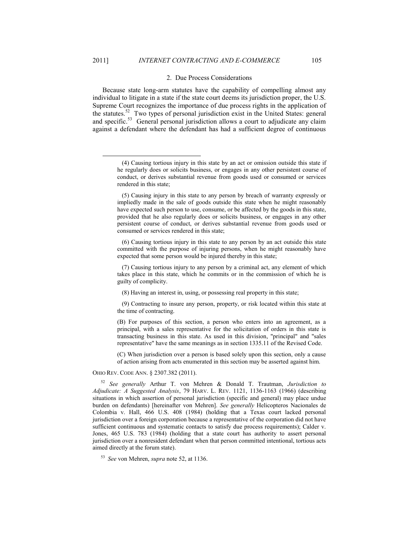l

#### 2. Due Process Considerations

Because state long-arm statutes have the capability of compelling almost any individual to litigate in a state if the state court deems its jurisdiction proper, the U.S. Supreme Court recognizes the importance of due process rights in the application of the statutes.<sup>52</sup> Two types of personal jurisdiction exist in the United States: general and specific.<sup>53</sup> General personal jurisdiction allows a court to adjudicate any claim against a defendant where the defendant has had a sufficient degree of continuous

 (6) Causing tortious injury in this state to any person by an act outside this state committed with the purpose of injuring persons, when he might reasonably have expected that some person would be injured thereby in this state;

 (7) Causing tortious injury to any person by a criminal act, any element of which takes place in this state, which he commits or in the commission of which he is guilty of complicity.

(8) Having an interest in, using, or possessing real property in this state;

 (9) Contracting to insure any person, property, or risk located within this state at the time of contracting.

(B) For purposes of this section, a person who enters into an agreement, as a principal, with a sales representative for the solicitation of orders in this state is transacting business in this state. As used in this division, "principal" and "sales representative" have the same meanings as in section 1335.11 of the Revised Code.

(C) When jurisdiction over a person is based solely upon this section, only a cause of action arising from acts enumerated in this section may be asserted against him.

## OHIO REV. CODE ANN. § 2307.382 (2011).

<sup>52</sup> *See generally* Arthur T. von Mehren & Donald T. Trautman, *Jurisdiction to Adjudicate: A Suggested Analysis*, 79 HARV. L. REV. 1121, 1136-1163 (1966) (describing situations in which assertion of personal jurisdiction (specific and general) may place undue burden on defendants) [hereinafter von Mehren]. *See generally* Helicopteros Nacionales de Colombia v. Hall, 466 U.S. 408 (1984) (holding that a Texas court lacked personal jurisdiction over a foreign corporation because a representative of the corporation did not have sufficient continuous and systematic contacts to satisfy due process requirements); Calder v. Jones, 465 U.S. 783 (1984) (holding that a state court has authority to assert personal jurisdiction over a nonresident defendant when that person committed intentional, tortious acts aimed directly at the forum state).

 <sup>(4)</sup> Causing tortious injury in this state by an act or omission outside this state if he regularly does or solicits business, or engages in any other persistent course of conduct, or derives substantial revenue from goods used or consumed or services rendered in this state;

 <sup>(5)</sup> Causing injury in this state to any person by breach of warranty expressly or impliedly made in the sale of goods outside this state when he might reasonably have expected such person to use, consume, or be affected by the goods in this state, provided that he also regularly does or solicits business, or engages in any other persistent course of conduct, or derives substantial revenue from goods used or consumed or services rendered in this state;

<sup>53</sup> *See* von Mehren, *supra* note 52, at 1136.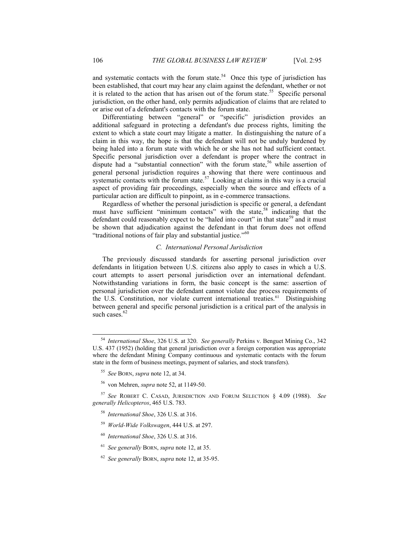and systematic contacts with the forum state.<sup>54</sup> Once this type of jurisdiction has been established, that court may hear any claim against the defendant, whether or not it is related to the action that has arisen out of the forum state.<sup>55</sup> Specific personal jurisdiction, on the other hand, only permits adjudication of claims that are related to

Differentiating between "general" or "specific" jurisdiction provides an additional safeguard in protecting a defendant's due process rights, limiting the extent to which a state court may litigate a matter. In distinguishing the nature of a claim in this way, the hope is that the defendant will not be unduly burdened by being haled into a forum state with which he or she has not had sufficient contact. Specific personal jurisdiction over a defendant is proper where the contract in dispute had a "substantial connection" with the forum state,<sup>56</sup> while assertion of general personal jurisdiction requires a showing that there were continuous and systematic contacts with the forum state.<sup>57</sup> Looking at claims in this way is a crucial aspect of providing fair proceedings, especially when the source and effects of a particular action are difficult to pinpoint, as in e-commerce transactions.

or arise out of a defendant's contacts with the forum state.

Regardless of whether the personal jurisdiction is specific or general, a defendant must have sufficient "minimum contacts" with the state,<sup>58</sup> indicating that the defendant could reasonably expect to be "haled into court" in that state<sup>59</sup> and it must be shown that adjudication against the defendant in that forum does not offend "traditional notions of fair play and substantial justice."<sup>60</sup>

## *C. International Personal Jurisdiction*

The previously discussed standards for asserting personal jurisdiction over defendants in litigation between U.S. citizens also apply to cases in which a U.S. court attempts to assert personal jurisdiction over an international defendant. Notwithstanding variations in form, the basic concept is the same: assertion of personal jurisdiction over the defendant cannot violate due process requirements of the U.S. Constitution, nor violate current international treaties.<sup>61</sup> Distinguishing between general and specific personal jurisdiction is a critical part of the analysis in such cases. $62$ 

<sup>54</sup> *International Shoe*, 326 U.S. at 320. *See generally* Perkins v. Benguet Mining Co., 342 U.S. 437 (1952) (holding that general jurisdiction over a foreign corporation was appropriate where the defendant Mining Company continuous and systematic contacts with the forum state in the form of business meetings, payment of salaries, and stock transfers).

<sup>55</sup> *See* BORN, *supra* note 12, at 34.

<sup>56</sup> von Mehren, *supra* note 52, at 1149-50.

<sup>57</sup> *See* ROBERT C. CASAD, JURISDICTION AND FORUM SELECTION § 4.09 (1988). *See generally Helicopteros*, 465 U.S. 783.

<sup>58</sup> *International Shoe*, 326 U.S. at 316.

<sup>59</sup> *World-Wide Volkswagen*, 444 U.S. at 297.

<sup>60</sup> *International Shoe*, 326 U.S. at 316.

<sup>61</sup> *See generally* BORN, *supra* note 12, at 35.

<sup>62</sup> *See generally* BORN, *supra* note 12, at 35-95.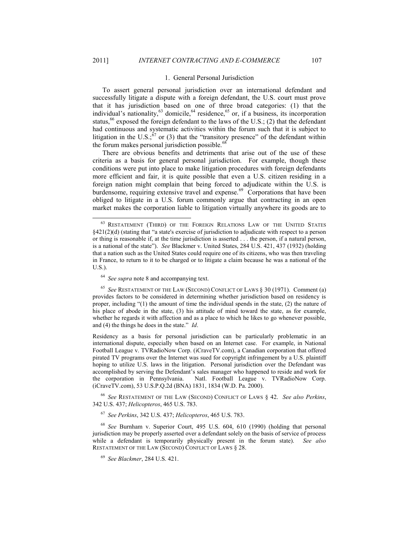$\overline{a}$ 

#### 1. General Personal Jurisdiction

To assert general personal jurisdiction over an international defendant and successfully litigate a dispute with a foreign defendant, the U.S. court must prove that it has jurisdiction based on one of three broad categories: (1) that the individual's nationality,<sup>63</sup> domicile,<sup>64</sup> residence,<sup>65</sup> or, if a business, its incorporation status,<sup>66</sup> exposed the foreign defendant to the laws of the U.S.; (2) that the defendant had continuous and systematic activities within the forum such that it is subject to litigation in the U.S.;  $\frac{57}{7}$  or (3) that the "transitory presence" of the defendant within the forum makes personal jurisdiction possible. $68$ 

There are obvious benefits and detriments that arise out of the use of these criteria as a basis for general personal jurisdiction. For example, though these conditions were put into place to make litigation procedures with foreign defendants more efficient and fair, it is quite possible that even a U.S. citizen residing in a foreign nation might complain that being forced to adjudicate within the U.S. is burdensome, requiring extensive travel and expense.<sup>69</sup> Corporations that have been obliged to litigate in a U.S. forum commonly argue that contracting in an open market makes the corporation liable to litigation virtually anywhere its goods are to

Residency as a basis for personal jurisdiction can be particularly problematic in an international dispute, especially when based on an Internet case. For example, in National Football League v. TVRadioNow Corp. (iCraveTV.com), a Canadian corporation that offered pirated TV programs over the Internet was sued for copyright infringement by a U.S. plaintiff hoping to utilize U.S. laws in the litigation. Personal jurisdiction over the Defendant was accomplished by serving the Defendant's sales manager who happened to reside and work for the corporation in Pennsylvania. Natl. Football League v. TVRadioNow Corp. (iCraveTV.com), 53 U.S.P.Q.2d (BNA) 1831, 1834 (W.D. Pa. 2000).

<sup>66</sup> *See* RESTATEMENT OF THE LAW (SECOND) CONFLICT OF LAWS § 42. *See also Perkins*, 342 U.S. 437; *Helicopteros*, 465 U.S. 783.

<sup>67</sup> *See Perkins*, 342 U.S. 437; *Helicopteros*, 465 U.S. 783.

<sup>68</sup> *See* Burnham v. Superior Court, 495 U.S. 604, 610 (1990) (holding that personal jurisdiction may be properly asserted over a defendant solely on the basis of service of process while a defendant is temporarily physically present in the forum state). *See also* RESTATEMENT OF THE LAW (SECOND) CONFLICT OF LAWS § 28.

<sup>&</sup>lt;sup>63</sup> RESTATEMENT (THIRD) OF THE FOREIGN RELATIONS LAW OF THE UNITED STATES §421(2)(d) (stating that "a state's exercise of jurisdiction to adjudicate with respect to a person or thing is reasonable if, at the time jurisdiction is asserted . . . the person, if a natural person, is a national of the state"). *See* Blackmer v. United States, 284 U.S. 421, 437 (1932) (holding that a nation such as the United States could require one of its citizens, who was then traveling in France, to return to it to be charged or to litigate a claim because he was a national of the U.S.).

<sup>64</sup> *See supra* note 8 and accompanying text.

<sup>65</sup> *See* RESTATEMENT OF THE LAW (SECOND) CONFLICT OF LAWS § 30 (1971). Comment (a) provides factors to be considered in determining whether jurisdiction based on residency is proper, including "(1) the amount of time the individual spends in the state, (2) the nature of his place of abode in the state, (3) his attitude of mind toward the state, as for example, whether he regards it with affection and as a place to which he likes to go whenever possible, and (4) the things he does in the state." *Id*.

<sup>69</sup> *See Blackmer*, 284 U.S. 421.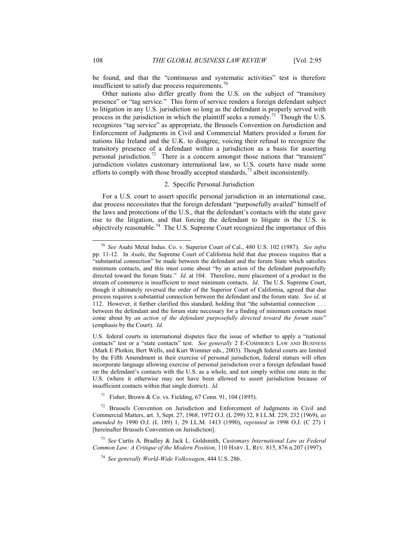be found, and that the "continuous and systematic activities" test is therefore insufficient to satisfy due process requirements.<sup>70</sup>

Other nations also differ greatly from the U.S. on the subject of "transitory presence" or "tag service." This form of service renders a foreign defendant subject to litigation in any U.S. jurisdiction so long as the defendant is properly served with process in the jurisdiction in which the plaintiff seeks a remedy.<sup>71</sup> Though the U.S. recognizes "tag service" as appropriate, the Brussels Convention on Jurisdiction and Enforcement of Judgments in Civil and Commercial Matters provided a forum for nations like Ireland and the U.K. to disagree, voicing their refusal to recognize the transitory presence of a defendant within a jurisdiction as a basis for asserting personal jurisdiction.<sup>72</sup> There is a concern amongst those nations that "transient" jurisdiction violates customary international law, so U.S. courts have made some efforts to comply with those broadly accepted standards,  $^{73}$  albeit inconsistently.

# 2. Specific Personal Jurisdiction

For a U.S. court to assert specific personal jurisdiction in an international case, due process necessitates that the foreign defendant "purposefully availed" himself of the laws and protections of the U.S., that the defendant's contacts with the state gave rise to the litigation, and that forcing the defendant to litigate in the U.S. is objectively reasonable.<sup>74</sup> The U.S. Supreme Court recognized the importance of this

<sup>71</sup> Fisher, Brown & Co. vs. Fielding, 67 Conn. 91, 104 (1895).

<sup>70</sup> *See* Asahi Metal Indus. Co. v. Superior Court of Cal., 480 U.S. 102 (1987). *See infra* pp. 11-12. In *Asahi*, the Supreme Court of California held that due process requires that a "substantial connection" be made between the defendant and the forum State which satisfies minimum contacts, and this must come about "by an action of the defendant purposefully directed toward the forum State." *Id*. at 104. Therefore, mere placement of a product in the stream of commerce is insufficient to meet minimum contacts. *Id*. The U.S. Supreme Court, though it ultimately reversed the order of the Superior Court of California, agreed that due process requires a substantial connection between the defendant and the forum state. *See id*. at 112. However, it further clarified this standard, holding that "the substantial connection . . . between the defendant and the forum state necessary for a finding of minimum contacts must come about by *an action of the defendant purposefully directed toward the forum state*" (emphasis by the Court). *Id*.

U.S. federal courts in international disputes face the issue of whether to apply a "national contacts" test or a "state contacts" test. *See generally* 2 E-COMMERCE LAW AND BUSINESS (Mark E Plotkin, Bert Wells, and Kurt Wimmer eds., 2003). Though federal courts are limited by the Fifth Amendment in their exercise of personal jurisdiction, federal statues will often incorporate language allowing exercise of personal jurisdiction over a foreign defendant based on the defendant's contacts with the U.S. as a whole, and not simply within one state in the U.S. (where it otherwise may not have been allowed to assert jurisdiction because of insufficient contacts within that single district). *Id*.

<sup>72</sup> Brussels Convention on Jurisdiction and Enforcement of Judgments in Civil and Commercial Matters, art. 3, Sept. 27, 1968, 1972 O.J. (L 299) 32, 8 I.L.M. 229, 232 (1969), *as amended by* 1990 O.J. (L 189) 1, 29 I.L.M. 1413 (1990), *reprinted in* 1998 O.J. (C 27) 1 [hereinafter Brussels Convention on Jurisdiction].

<sup>73</sup> *See* Curtis A. Bradley & Jack L. Goldsmith, *Customary International Law as Federal Common Law: A Critique of the Modern Position*, 110 HARV. L. REV. 815, 876 n.207 (1997).

<sup>74</sup> *See generally World-Wide Volkswagen*, 444 U.S. 286.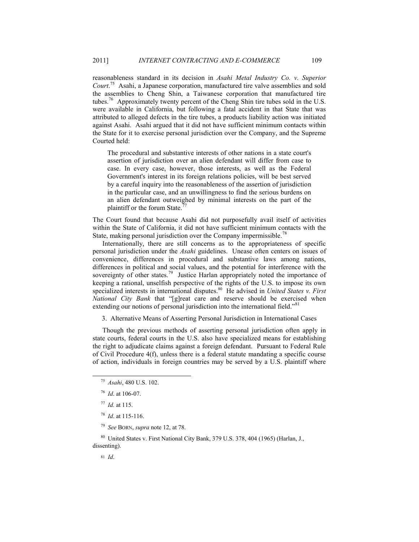reasonableness standard in its decision in *Asahi Metal Industry Co. v. Superior Court*. 75 Asahi, a Japanese corporation, manufactured tire valve assemblies and sold the assemblies to Cheng Shin, a Taiwanese corporation that manufactured tire tubes.<sup>76</sup> Approximately twenty percent of the Cheng Shin tire tubes sold in the U.S. were available in California, but following a fatal accident in that State that was attributed to alleged defects in the tire tubes, a products liability action was initiated against Asahi. Asahi argued that it did not have sufficient minimum contacts within the State for it to exercise personal jurisdiction over the Company, and the Supreme Courted held:

The procedural and substantive interests of other nations in a state court's assertion of jurisdiction over an alien defendant will differ from case to case. In every case, however, those interests, as well as the Federal Government's interest in its foreign relations policies, will be best served by a careful inquiry into the reasonableness of the assertion of jurisdiction in the particular case, and an unwillingness to find the serious burdens on an alien defendant outweighed by minimal interests on the part of the plaintiff or the forum State.<sup>7</sup>

The Court found that because Asahi did not purposefully avail itself of activities within the State of California, it did not have sufficient minimum contacts with the State, making personal jurisdiction over the Company impermissible.<sup>78</sup>

Internationally, there are still concerns as to the appropriateness of specific personal jurisdiction under the *Asahi* guidelines. Unease often centers on issues of convenience, differences in procedural and substantive laws among nations, differences in political and social values, and the potential for interference with the sovereignty of other states.<sup>79</sup> Justice Harlan appropriately noted the importance of keeping a rational, unselfish perspective of the rights of the U.S. to impose its own specialized interests in international disputes.<sup>80</sup> He advised in *United States v. First National City Bank* that "[g]reat care and reserve should be exercised when extending our notions of personal jurisdiction into the international field."<sup>81</sup>

3. Alternative Means of Asserting Personal Jurisdiction in International Cases

Though the previous methods of asserting personal jurisdiction often apply in state courts, federal courts in the U.S. also have specialized means for establishing the right to adjudicate claims against a foreign defendant. Pursuant to Federal Rule of Civil Procedure 4(f), unless there is a federal statute mandating a specific course of action, individuals in foreign countries may be served by a U.S. plaintiff where

l

<sup>81</sup> *Id*.

<sup>75</sup> *Asahi*, 480 U.S. 102.

<sup>76</sup> *Id*. at 106-07.

<sup>77</sup> *Id.* at 115.

<sup>78</sup> *Id*. at 115-116.

<sup>79</sup> *See* BORN, *supra* note 12, at 78.

<sup>80</sup> United States v. First National City Bank, 379 U.S. 378, 404 (1965) (Harlan, J., dissenting).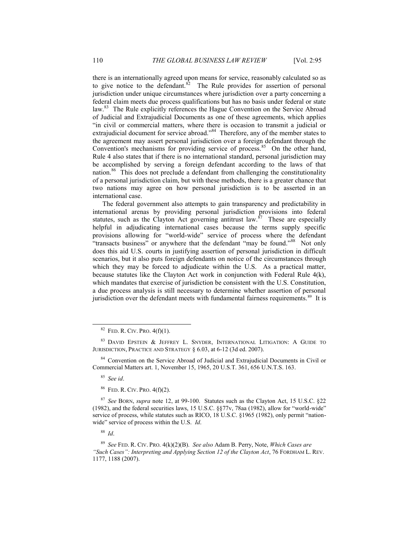there is an internationally agreed upon means for service, reasonably calculated so as to give notice to the defendant.<sup>82</sup> The Rule provides for assertion of personal jurisdiction under unique circumstances where jurisdiction over a party concerning a federal claim meets due process qualifications but has no basis under federal or state law.<sup>83</sup> The Rule explicitly references the Hague Convention on the Service Abroad of Judicial and Extrajudicial Documents as one of these agreements, which applies "in civil or commercial matters, where there is occasion to transmit a judicial or extrajudicial document for service abroad."<sup>84</sup> Therefore, any of the member states to the agreement may assert personal jurisdiction over a foreign defendant through the Convention's mechanisms for providing service of process.<sup>85</sup> On the other hand, Rule 4 also states that if there is no international standard, personal jurisdiction may be accomplished by serving a foreign defendant according to the laws of that nation.<sup>86</sup> This does not preclude a defendant from challenging the constitutionality of a personal jurisdiction claim, but with these methods, there is a greater chance that two nations may agree on how personal jurisdiction is to be asserted in an international case.

The federal government also attempts to gain transparency and predictability in international arenas by providing personal jurisdiction provisions into federal statutes, such as the Clayton Act governing antitrust law.<sup>87</sup> These are especially helpful in adjudicating international cases because the terms supply specific provisions allowing for "world-wide" service of process where the defendant "transacts business" or anywhere that the defendant "may be found."<sup>88</sup> Not only does this aid U.S. courts in justifying assertion of personal jurisdiction in difficult scenarios, but it also puts foreign defendants on notice of the circumstances through which they may be forced to adjudicate within the U.S. As a practical matter, because statutes like the Clayton Act work in conjunction with Federal Rule 4(k), which mandates that exercise of jurisdiction be consistent with the U.S. Constitution, a due process analysis is still necessary to determine whether assertion of personal jurisdiction over the defendant meets with fundamental fairness requirements.<sup>89</sup> It is

<sup>85</sup> *See id*.

 $\overline{a}$ 

 $86$  FED. R. CIV. PRO.  $4(f)(2)$ .

<sup>87</sup> *See* BORN, *supra* note 12, at 99-100. Statutes such as the Clayton Act, 15 U.S.C. §22 (1982), and the federal securities laws, 15 U.S.C. §§77v, 78aa (1982), allow for "world-wide" service of process, while statutes such as RICO,  $18 \text{ U.S. C. }$  §1965 (1982), only permit "nationwide" service of process within the U.S. *Id*.

<sup>88</sup> *Id*.

<sup>89</sup> *See* FED. R. CIV. PRO. 4(k)(2)(B). *See also* Adam B. Perry, Note, *Which Cases are "Such Cases": Interpreting and Applying Section 12 of the Clayton Act*, 76 FORDHAM L. REV. 1177, 1188 (2007).

 $82$  FED. R. CIV. PRO. 4(f)(1).

<sup>83</sup> DAVID EPSTEIN & JEFFREY L. SNYDER, INTERNATIONAL LITIGATION: A GUIDE TO JURISDICTION, PRACTICE AND STRATEGY § 6.03, at 6-12 (3d ed. 2007).

<sup>&</sup>lt;sup>84</sup> Convention on the Service Abroad of Judicial and Extrajudicial Documents in Civil or Commercial Matters art. 1, November 15, 1965, 20 U.S.T. 361, 656 U.N.T.S. 163.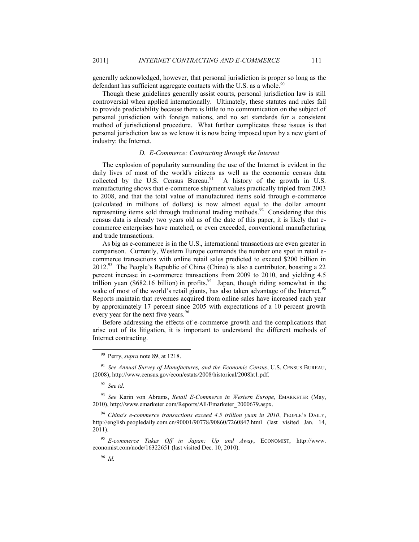generally acknowledged, however, that personal jurisdiction is proper so long as the defendant has sufficient aggregate contacts with the U.S. as a whole.<sup>90</sup>

Though these guidelines generally assist courts, personal jurisdiction law is still controversial when applied internationally. Ultimately, these statutes and rules fail to provide predictability because there is little to no communication on the subject of personal jurisdiction with foreign nations, and no set standards for a consistent method of jurisdictional procedure. What further complicates these issues is that personal jurisdiction law as we know it is now being imposed upon by a new giant of industry: the Internet.

#### *D. E-Commerce: Contracting through the Internet*

The explosion of popularity surrounding the use of the Internet is evident in the daily lives of most of the world's citizens as well as the economic census data collected by the U.S. Census Bureau.<sup>91</sup> A history of the growth in U.S. manufacturing shows that e-commerce shipment values practically tripled from 2003 to 2008, and that the total value of manufactured items sold through e-commerce (calculated in millions of dollars) is now almost equal to the dollar amount representing items sold through traditional trading methods.<sup>92</sup> Considering that this census data is already two years old as of the date of this paper, it is likely that ecommerce enterprises have matched, or even exceeded, conventional manufacturing and trade transactions.

As big as e-commerce is in the U.S., international transactions are even greater in comparison. Currently, Western Europe commands the number one spot in retail ecommerce transactions with online retail sales predicted to exceed \$200 billion in 2012.<sup>93</sup> The People's Republic of China (China) is also a contributor, boasting a 22 percent increase in e-commerce transactions from 2009 to 2010, and yielding 4.5 trillion yuan (\$682.16 billion) in profits.<sup>94</sup> Japan, though riding somewhat in the wake of most of the world's retail giants, has also taken advantage of the Internet.<sup>95</sup> Reports maintain that revenues acquired from online sales have increased each year by approximately 17 percent since 2005 with expectations of a 10 percent growth every year for the next five years.<sup>96</sup>

Before addressing the effects of e-commerce growth and the complications that arise out of its litigation, it is important to understand the different methods of Internet contracting.

<sup>90</sup> Perry, *supra* note 89, at 1218.

<sup>91</sup> *See Annual Survey of Manufactures, and the Economic Census*, U.S. CENSUS BUREAU, (2008), [http://www.census.gov/econ/estats/2008/historical/2008ht1.pdf.](http://www.census.gov/econ/estats/2008/historical/2008ht1.pdf)

<sup>92</sup> *See id*.

<sup>93</sup> *See* Karin von Abrams, *Retail E-Commerce in Western Europe*, EMARKETER (May, 2010), [http://www.emarketer.com/Reports/All/Emarketer\\_2000679.aspx.](http://www.emarketer.com/Reports/All/Emarketer_2000679.aspx)

<sup>&</sup>lt;sup>94</sup> *China's e-commerce transactions exceed 4.5 trillion yuan in 2010*, PEOPLE'S DAILY, <http://english.peopledaily.com.cn/90001/90778/90860/7260847.html> (last visited Jan. 14, 2011).

<sup>95</sup> *E-commerce Takes Off in Japan: Up and Away*, ECONOMIST, http://www. economist.com/node/16322651 (last visited Dec. 10, 2010).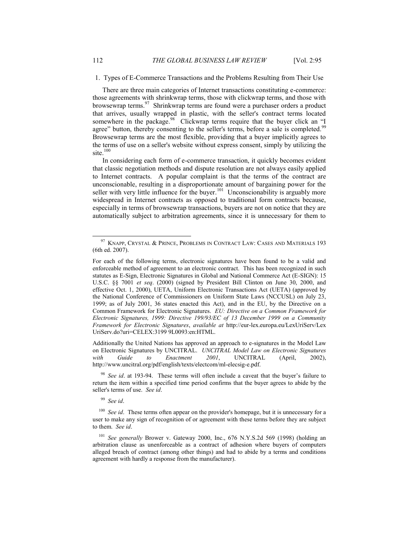$\overline{a}$ 

1. Types of E-Commerce Transactions and the Problems Resulting from Their Use

There are three main categories of Internet transactions constituting e-commerce: those agreements with shrinkwrap terms, those with clickwrap terms, and those with browsewrap terms.<sup>97</sup> Shrinkwrap terms are found were a purchaser orders a product that arrives, usually wrapped in plastic, with the seller's contract terms located somewhere in the package.<sup>98</sup> Clickwrap terms require that the buyer click an "I agree" button, thereby consenting to the seller's terms, before a sale is completed.<sup>99</sup> Browsewrap terms are the most flexible, providing that a buyer implicitly agrees to the terms of use on a seller's website without express consent, simply by utilizing the site. $100$ 

In considering each form of e-commerce transaction, it quickly becomes evident that classic negotiation methods and dispute resolution are not always easily applied to Internet contracts. A popular complaint is that the terms of the contract are unconscionable, resulting in a disproportionate amount of bargaining power for the seller with very little influence for the buyer.<sup>101</sup> Unconscionability is arguably more widespread in Internet contracts as opposed to traditional form contracts because, especially in terms of browsewrap transactions, buyers are not on notice that they are automatically subject to arbitration agreements, since it is unnecessary for them to

Additionally the United Nations has approved an approach to e-signatures in the Model Law on Electronic Signatures by UNCITRAL. *UNCITRAL Model Law on Electronic Signatures with Guide to Enactment 2001*, UNCITRAL (April, 2002), http://www.uncitral.org/pdf/english/texts/electcom/ml-elecsig-e.pdf.

<sup>98</sup> *See id*. at 193-94. These terms will often include a caveat that the buyer's failure to return the item within a specified time period confirms that the buyer agrees to abide by the seller's terms of use. *See id*.

<sup>99</sup> *See id*.

KNAPP, CRYSTAL & PRINCE, PROBLEMS IN CONTRACT LAW: CASES AND MATERIALS 193 (6th ed. 2007).

For each of the following terms, electronic signatures have been found to be a valid and enforceable method of agreement to an electronic contract. This has been recognized in such statutes as E-Sign, Electronic Signatures in Global and National Commerce Act (E-SIGN): 15 U.S.C. §§ 7001 *et seq*. (2000) (signed by President Bill Clinton on June 30, 2000, and effective Oct. 1, 2000), UETA, Uniform Electronic Transactions Act (UETA) (approved by the National Conference of Commissioners on Uniform State Laws (NCCUSL) on July 23, 1999; as of July 2001, 36 states enacted this Act), and in the EU, by the Directive on a Common Framework for Electronic Signatures. *EU: Directive on a Common Framework for Electronic Signatures, 1999: Directive 199/93/EC of 13 December 1999 on a Community Framework for Electronic Signatures*, *available at* http://eur-lex.europa.eu/LexUriServ/Lex UriServ.do?uri=CELEX:3199 9L0093:en:HTML.

<sup>&</sup>lt;sup>100</sup> *See id.* These terms often appear on the provider's homepage, but it is unnecessary for a user to make any sign of recognition of or agreement with these terms before they are subject to them. *See id*.

<sup>101</sup> *See generally* Brower v. Gateway 2000, Inc., 676 N.Y.S.2d 569 (1998) (holding an arbitration clause as unenforceable as a contract of adhesion where buyers of computers alleged breach of contract (among other things) and had to abide by a terms and conditions agreement with hardly a response from the manufacturer).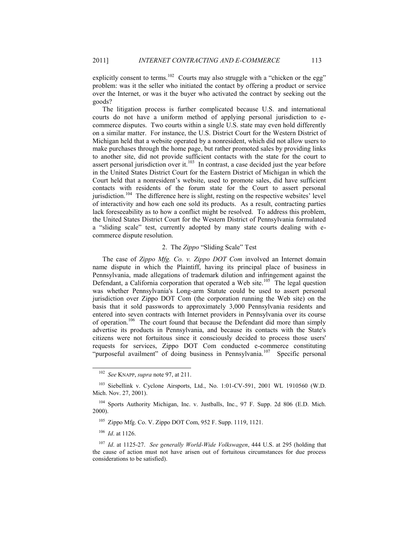explicitly consent to terms.<sup>102</sup> Courts may also struggle with a "chicken or the egg" problem: was it the seller who initiated the contact by offering a product or service over the Internet, or was it the buyer who activated the contract by seeking out the goods?

The litigation process is further complicated because U.S. and international courts do not have a uniform method of applying personal jurisdiction to ecommerce disputes. Two courts within a single U.S. state may even hold differently on a similar matter. For instance, the U.S. District Court for the Western District of Michigan held that a website operated by a nonresident, which did not allow users to make purchases through the home page, but rather promoted sales by providing links to another site, did not provide sufficient contacts with the state for the court to assert personal jurisdiction over it.<sup>103</sup> In contrast, a case decided just the year before in the United States District Court for the Eastern District of Michigan in which the Court held that a nonresident's website, used to promote sales, did have sufficient contacts with residents of the forum state for the Court to assert personal jurisdiction.<sup>104</sup> The difference here is slight, resting on the respective websites' level of interactivity and how each one sold its products. As a result, contracting parties lack foreseeability as to how a conflict might be resolved. To address this problem, the United States District Court for the Western District of Pennsylvania formulated a "sliding scale" test, currently adopted by many state courts dealing with ecommerce dispute resolution.

#### 2. The *Zippo* "Sliding Scale" Test

The case of *Zippo Mfg. Co. v. Zippo DOT Com* involved an Internet domain name dispute in which the Plaintiff, having its principal place of business in Pennsylvania, made allegations of trademark dilution and infringement against the Defendant, a California corporation that operated a Web site.<sup>105</sup> The legal question was whether Pennsylvania's Long-arm Statute could be used to assert personal jurisdiction over Zippo DOT Com (the corporation running the Web site) on the basis that it sold passwords to approximately 3,000 Pennsylvania residents and entered into seven contracts with Internet providers in Pennsylvania over its course of operation.<sup>106</sup> The court found that because the Defendant did more than simply advertise its products in Pennsylvania, and because its contacts with the State's citizens were not fortuitous since it consciously decided to process those users' requests for services, Zippo DOT Com conducted e-commerce constituting "purposeful availment" of doing business in Pennsylvania.<sup>107</sup> Specific personal

<sup>102</sup> *See* KNAPP, *supra* note 97, at 211.

<sup>103</sup> Siebellink v. Cyclone Airsports, Ltd., No. 1:01-CV-591, 2001 WL 1910560 (W.D. Mich. Nov. 27, 2001).

<sup>104</sup> Sports Authority Michigan, Inc. v. Justballs, Inc., 97 F. Supp. 2d 806 (E.D. Mich. 2000).

<sup>105</sup> Zippo Mfg. Co. V. Zippo DOT Com, 952 F. Supp. 1119, 1121.

<sup>106</sup> *Id*. at 1126.

<sup>107</sup> *Id*. at 1125-27. *See generally World-Wide Volkswagen*, 444 U.S. at 295 (holding that the cause of action must not have arisen out of fortuitous circumstances for due process considerations to be satisfied).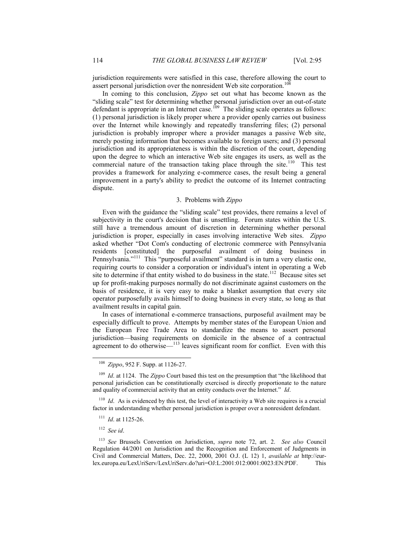jurisdiction requirements were satisfied in this case, therefore allowing the court to assert personal jurisdiction over the nonresident Web site corporation.<sup>10</sup>

In coming to this conclusion, *Zippo* set out what has become known as the "sliding scale" test for determining whether personal jurisdiction over an out-of-state defendant is appropriate in an Internet case.<sup>109</sup> The sliding scale operates as follows: (1) personal jurisdiction is likely proper where a provider openly carries out business over the Internet while knowingly and repeatedly transferring files; (2) personal jurisdiction is probably improper where a provider manages a passive Web site, merely posting information that becomes available to foreign users; and (3) personal jurisdiction and its appropriateness is within the discretion of the court, depending upon the degree to which an interactive Web site engages its users, as well as the commercial nature of the transaction taking place through the site.<sup>110</sup> This test provides a framework for analyzing e-commerce cases, the result being a general improvement in a party's ability to predict the outcome of its Internet contracting dispute.

# 3. Problems with *Zippo*

Even with the guidance the "sliding scale" test provides, there remains a level of subjectivity in the court's decision that is unsettling. Forum states within the U.S. still have a tremendous amount of discretion in determining whether personal jurisdiction is proper, especially in cases involving interactive Web sites. *Zippo* asked whether "Dot Com's conducting of electronic commerce with Pennsylvania residents [constituted] the purposeful availment of doing business in Pennsylvania."<sup>111</sup> This "purposeful availment" standard is in turn a very elastic one, requiring courts to consider a corporation or individual's intent in operating a Web site to determine if that entity wished to do business in the state.<sup>112</sup> Because sites set up for profit-making purposes normally do not discriminate against customers on the basis of residence, it is very easy to make a blanket assumption that every site operator purposefully avails himself to doing business in every state, so long as that availment results in capital gain.

In cases of international e-commerce transactions, purposeful availment may be especially difficult to prove. Attempts by member states of the European Union and the European Free Trade Area to standardize the means to assert personal jurisdiction—basing requirements on domicile in the absence of a contractual agreement to do otherwise— $113$  leaves significant room for conflict. Even with this

<sup>110</sup> *Id*. As is evidenced by this test, the level of interactivity a Web site requires is a crucial factor in understanding whether personal jurisdiction is proper over a nonresident defendant.

 $\overline{\phantom{a}}$ 

<sup>108</sup> *Zippo*, 952 F. Supp. at 1126-27.

<sup>109</sup> *Id*. at 1124. The *Zippo* Court based this test on the presumption that "the likelihood that personal jurisdiction can be constitutionally exercised is directly proportionate to the nature and quality of commercial activity that an entity conducts over the Internet." *Id*.

<sup>111</sup> *Id*. at 1125-26.

<sup>112</sup> *See id*.

<sup>113</sup> *See* Brussels Convention on Jurisdiction, *supra* note 72, art. 2. *See also* Council Regulation 44/2001 on Jurisdiction and the Recognition and Enforcement of Judgments in Civil and Commercial Matters, Dec. 22, 2000, 2001 O.J. (L 12) 1, *available at* http://eurlex.europa.eu/LexUriServ/LexUriServ.do?uri=OJ:L:2001:012:0001:0023:EN:PDF. This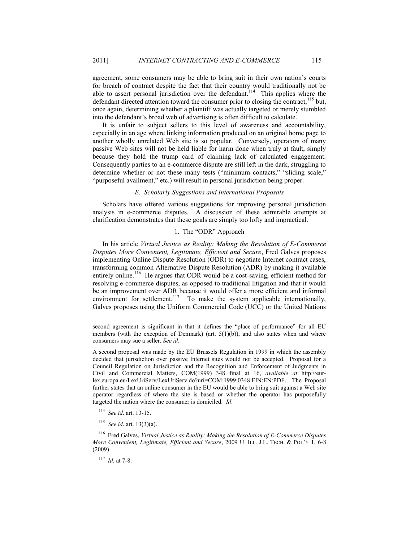agreement, some consumers may be able to bring suit in their own nation's courts for breach of contract despite the fact that their country would traditionally not be able to assert personal jurisdiction over the defendant.<sup>114</sup> This applies where the defendant directed attention toward the consumer prior to closing the contract,  $^{115}$  but, once again, determining whether a plaintiff was actually targeted or merely stumbled into the defendant's broad web of advertising is often difficult to calculate.

It is unfair to subject sellers to this level of awareness and accountability, especially in an age where linking information produced on an original home page to another wholly unrelated Web site is so popular. Conversely, operators of many passive Web sites will not be held liable for harm done when truly at fault, simply because they hold the trump card of claiming lack of calculated engagement. Consequently parties to an e-commerce dispute are still left in the dark, struggling to determine whether or not these many tests ("minimum contacts," "sliding scale," "purposeful availment," etc.) will result in personal jurisdiction being proper.

# *E. Scholarly Suggestions and International Proposals*

Scholars have offered various suggestions for improving personal jurisdiction analysis in e-commerce disputes. A discussion of these admirable attempts at clarification demonstrates that these goals are simply too lofty and impractical.

# 1. The "ODR" Approach

In his article *Virtual Justice as Reality: Making the Resolution of E-Commerce Disputes More Convenient, Legitimate, Efficient and Secure*, Fred Galves proposes implementing Online Dispute Resolution (ODR) to negotiate Internet contract cases, transforming common Alternative Dispute Resolution (ADR) by making it available entirely online.<sup>116</sup> He argues that ODR would be a cost-saving, efficient method for resolving e-commerce disputes, as opposed to traditional litigation and that it would be an improvement over ADR because it would offer a more efficient and informal environment for settlement.<sup>117</sup> To make the system applicable internationally, Galves proposes using the Uniform Commercial Code (UCC) or the United Nations

second agreement is significant in that it defines the "place of performance" for all EU members (with the exception of Denmark) (art.  $5(1)(b)$ ), and also states when and where consumers may sue a seller. *See id*.

A second proposal was made by the EU Brussels Regulation in 1999 in which the assembly decided that jurisdiction over passive Internet sites would not be accepted. Proposal for a Council Regulation on Jurisdiction and the Recognition and Enforcement of Judgments in Civil and Commercial Matters, COM(1999) 348 final at 16, *available at* [http://eur](http://eur-lex.europa.eu/LexUriServ/LexUriServ.do?uri=COM:1999:0348:FIN:EN:PDF)[lex.europa.eu/LexUriServ/LexUriServ.do?uri=COM:1999:0348:FIN:EN:PDF.](http://eur-lex.europa.eu/LexUriServ/LexUriServ.do?uri=COM:1999:0348:FIN:EN:PDF) The Proposal further states that an online consumer in the EU would be able to bring suit against a Web site operator regardless of where the site is based or whether the operator has purposefully targeted the nation where the consumer is domiciled. *Id*.

<sup>114</sup> *See id*. art. 13-15.

<sup>115</sup> *See id*. art. 13(3)(a).

<sup>116</sup> Fred Galves, *Virtual Justice as Reality: Making the Resolution of E-Commerce Disputes More Convenient, Legitimate, Efficient and Secure*, 2009 U. ILL. J.L. TECH. & POL'Y 1, 6-8 (2009).

<sup>117</sup> *Id*. at 7-8.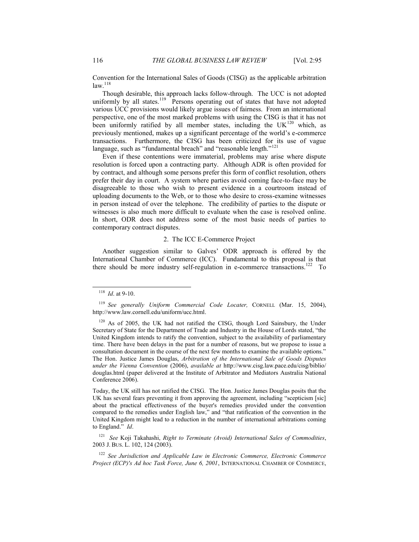Convention for the International Sales of Goods (CISG) as the applicable arbitration  $law.$ <sup>118</sup>

Though desirable, this approach lacks follow-through. The UCC is not adopted uniformly by all states.<sup>119</sup> Persons operating out of states that have not adopted various UCC provisions would likely argue issues of fairness. From an international perspective, one of the most marked problems with using the CISG is that it has not been uniformly ratified by all member states, including the UK<sup>120</sup> which, as previously mentioned, makes up a significant percentage of the world's e-commerce transactions. Furthermore, the CISG has been criticized for its use of vague language, such as "fundamental breach" and "reasonable length."<sup>121</sup>

Even if these contentions were immaterial, problems may arise where dispute resolution is forced upon a contracting party. Although ADR is often provided for by contract, and although some persons prefer this form of conflict resolution, others prefer their day in court. A system where parties avoid coming face-to-face may be disagreeable to those who wish to present evidence in a courtroom instead of uploading documents to the Web, or to those who desire to cross-examine witnesses in person instead of over the telephone. The credibility of parties to the dispute or witnesses is also much more difficult to evaluate when the case is resolved online. In short, ODR does not address some of the most basic needs of parties to contemporary contract disputes.

#### 2. The ICC E-Commerce Project

Another suggestion similar to Galves' ODR approach is offered by the International Chamber of Commerce (ICC). Fundamental to this proposal is that there should be more industry self-regulation in e-commerce transactions.<sup>122</sup> To

 $\overline{\phantom{a}}$ 

<sup>118</sup> *Id*. at 9-10.

<sup>119</sup> *See generally Uniform Commercial Code Locater,* CORNELL (Mar. 15, 2004), http://www.law.cornell.edu/uniform/ucc.html.

<sup>&</sup>lt;sup>120</sup> As of 2005, the UK had not ratified the CISG, though Lord Sainsbury, the Under Secretary of State for the Department of Trade and Industry in the House of Lords stated, "the United Kingdom intends to ratify the convention, subject to the availability of parliamentary time. There have been delays in the past for a number of reasons, but we propose to issue a consultation document in the course of the next few months to examine the available options." The Hon. Justice James Douglas, *Arbitration of the International Sale of Goods Disputes under the Vienna Convention* (2006), *available at* http://www.cisg.law.pace.edu/cisg/biblio/ douglas.html (paper delivered at the Institute of Arbitrator and Mediators Australia National Conference 2006).

Today, the UK still has not ratified the CISG. The Hon. Justice James Douglas posits that the UK has several fears preventing it from approving the agreement, including "scepticism [sic] about the practical effectiveness of the buyer's remedies provided under the convention compared to the remedies under English law," and "that ratification of the convention in the United Kingdom might lead to a reduction in the number of international arbitrations coming to England." *Id*.

<sup>121</sup> *See* Koji Takahashi, *Right to Terminate (Avoid) International Sales of Commodities*, 2003 J. BUS. L. 102, 124 (2003).

<sup>122</sup> *See Jurisdiction and Applicable Law in Electronic Commerce, Electronic Commerce Project (ECP)'s Ad hoc Task Force, June 6, 2001*, INTERNATIONAL CHAMBER OF COMMERCE,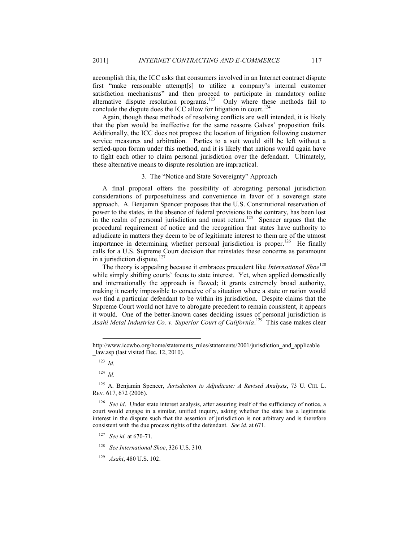accomplish this, the ICC asks that consumers involved in an Internet contract dispute first "make reasonable attempt[s] to utilize a company's internal customer satisfaction mechanisms" and then proceed to participate in mandatory online alternative dispute resolution programs.<sup>123</sup> Only where these methods fail to conclude the dispute does the ICC allow for litigation in court.<sup>124</sup>

Again, though these methods of resolving conflicts are well intended, it is likely that the plan would be ineffective for the same reasons Galves' proposition fails. Additionally, the ICC does not propose the location of litigation following customer service measures and arbitration. Parties to a suit would still be left without a settled-upon forum under this method, and it is likely that nations would again have to fight each other to claim personal jurisdiction over the defendant. Ultimately, these alternative means to dispute resolution are impractical.

#### 3. The "Notice and State Sovereignty" Approach

A final proposal offers the possibility of abrogating personal jurisdiction considerations of purposefulness and convenience in favor of a sovereign state approach. A. Benjamin Spencer proposes that the U.S. Constitutional reservation of power to the states, in the absence of federal provisions to the contrary, has been lost in the realm of personal jurisdiction and must return.<sup>125</sup> Spencer argues that the procedural requirement of notice and the recognition that states have authority to adjudicate in matters they deem to be of legitimate interest to them are of the utmost importance in determining whether personal jurisdiction is proper.<sup>126</sup> He finally calls for a U.S. Supreme Court decision that reinstates these concerns as paramount in a jurisdiction dispute. $127$ 

The theory is appealing because it embraces precedent like *International Shoe*<sup>128</sup> while simply shifting courts' focus to state interest. Yet, when applied domestically and internationally the approach is flawed; it grants extremely broad authority, making it nearly impossible to conceive of a situation where a state or nation would *not* find a particular defendant to be within its jurisdiction. Despite claims that the Supreme Court would not have to abrogate precedent to remain consistent, it appears it would. One of the better-known cases deciding issues of personal jurisdiction is *Asahi Metal Industries Co. v. Superior Court of California*. 129 This case makes clear

l

<sup>126</sup> *See id.* Under state interest analysis, after assuring itself of the sufficiency of notice, a court would engage in a similar, unified inquiry, asking whether the state has a legitimate interest in the dispute such that the assertion of jurisdiction is not arbitrary and is therefore consistent with the due process rights of the defendant. *See id.* at 671.

http://www.iccwbo.org/home/statements\_rules/statements/2001/jurisdiction\_and\_applicable law.asp (last visited Dec. 12, 2010).

<sup>123</sup> *Id*.

<sup>124</sup> *Id*.

<sup>125</sup> A. Benjamin Spencer, *Jurisdiction to Adjudicate: A Revised Analysis*, 73 U. CHI. L. REV. 617, 672 (2006).

<sup>127</sup> *See id.* at 670-71.

<sup>128</sup> *See International Shoe*, 326 U.S. 310.

<sup>129</sup> *Asahi*, 480 U.S. 102.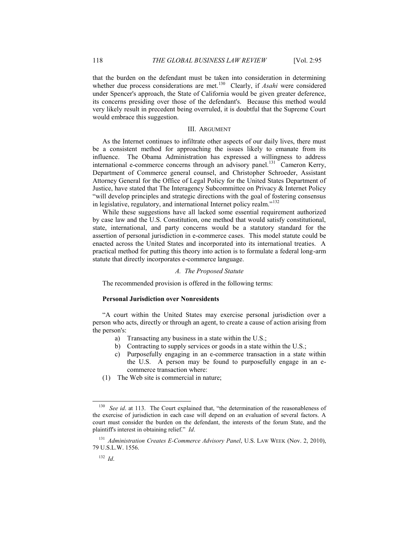that the burden on the defendant must be taken into consideration in determining whether due process considerations are met.<sup>130</sup> Clearly, if *Asahi* were considered under Spencer's approach, the State of California would be given greater deference, its concerns presiding over those of the defendant's. Because this method would very likely result in precedent being overruled, it is doubtful that the Supreme Court would embrace this suggestion.

### III. ARGUMENT

As the Internet continues to infiltrate other aspects of our daily lives, there must be a consistent method for approaching the issues likely to emanate from its influence. The Obama Administration has expressed a willingness to address international e-commerce concerns through an advisory panel.<sup>131</sup> Cameron Kerry, Department of Commerce general counsel, and Christopher Schroeder, Assistant Attorney General for the Office of Legal Policy for the United States Department of Justice, have stated that The Interagency Subcommittee on Privacy & Internet Policy "will develop principles and strategic directions with the goal of fostering consensus in legislative, regulatory, and international Internet policy realm."<sup>132</sup>

While these suggestions have all lacked some essential requirement authorized by case law and the U.S. Constitution, one method that would satisfy constitutional, state, international, and party concerns would be a statutory standard for the assertion of personal jurisdiction in e-commerce cases. This model statute could be enacted across the United States and incorporated into its international treaties. A practical method for putting this theory into action is to formulate a federal long-arm statute that directly incorporates e-commerce language.

### *A. The Proposed Statute*

The recommended provision is offered in the following terms:

#### **Personal Jurisdiction over Nonresidents**

"A court within the United States may exercise personal jurisdiction over a person who acts, directly or through an agent, to create a cause of action arising from the person's:

- a) Transacting any business in a state within the U.S.;
- b) Contracting to supply services or goods in a state within the U.S.;
- c) Purposefully engaging in an e-commerce transaction in a state within the U.S. A person may be found to purposefully engage in an ecommerce transaction where:
- (1) The Web site is commercial in nature;

 $\overline{\phantom{a}}$ 

See *id.* at 113. The Court explained that, "the determination of the reasonableness of the exercise of jurisdiction in each case will depend on an evaluation of several factors. A court must consider the burden on the defendant, the interests of the forum State, and the plaintiff's interest in obtaining relief." *Id*.

<sup>131</sup> *Administration Creates E-Commerce Advisory Panel*, U.S. LAW WEEK (Nov. 2, 2010), 79 U.S.L.W. 1556.

<sup>132</sup> *Id*.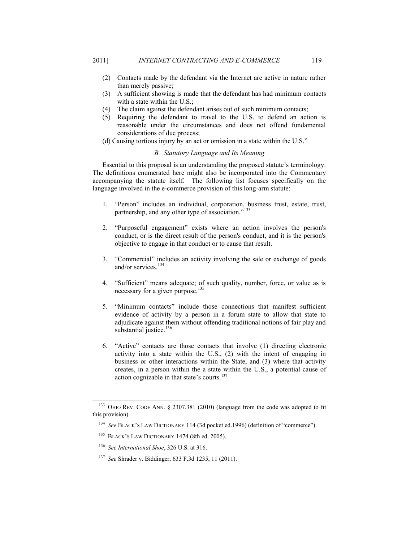- (2) Contacts made by the defendant via the Internet are active in nature rather than merely passive;
- (3) A sufficient showing is made that the defendant has had minimum contacts with a state within the U.S.;
- (4) The claim against the defendant arises out of such minimum contacts;
- (5) Requiring the defendant to travel to the U.S. to defend an action is reasonable under the circumstances and does not offend fundamental considerations of due process;
- (d) Causing tortious injury by an act or omission in a state within the U.S."

# *B. Statutory Language and Its Meaning*

Essential to this proposal is an understanding the proposed statute's terminology. The definitions enumerated here might also be incorporated into the Commentary accompanying the statute itself. The following list focuses specifically on the language involved in the e-commerce provision of this long-arm statute:

- 1. "Person" includes an individual, corporation, business trust, estate, trust, partnership, and any other type of association."<sup>133</sup>
- 2. "Purposeful engagement" exists where an action involves the person's conduct, or is the direct result of the person's conduct, and it is the person's objective to engage in that conduct or to cause that result.
- 3. "Commercial" includes an activity involving the sale or exchange of goods and/or services.<sup>134</sup>
- 4. "Sufficient" means adequate; of such quality, number, force, or value as is necessary for a given purpose.<sup>135</sup>
- 5. "Minimum contacts" include those connections that manifest sufficient evidence of activity by a person in a forum state to allow that state to adjudicate against them without offending traditional notions of fair play and substantial justice.<sup>136</sup>
- 6. "Active" contacts are those contacts that involve (1) directing electronic activity into a state within the U.S., (2) with the intent of engaging in business or other interactions within the State, and (3) where that activity creates, in a person within the a state within the U.S., a potential cause of action cognizable in that state's courts.<sup>137</sup>

 $\overline{\phantom{a}}$ 

<sup>&</sup>lt;sup>133</sup> OHIO REV. CODE ANN. § 2307.381 (2010) (language from the code was adopted to fit this provision).

<sup>134</sup> *See* BLACK'S LAW DICTIONARY 114 (3d pocket ed.1996) (definition of "commerce").

<sup>&</sup>lt;sup>135</sup> BLACK'S LAW DICTIONARY 1474 (8th ed. 2005).

<sup>136</sup> *See International Shoe*, 326 U.S. at 316.

<sup>137</sup> *See* Shrader v. Biddinger, 633 F.3d 1235, 11 (2011).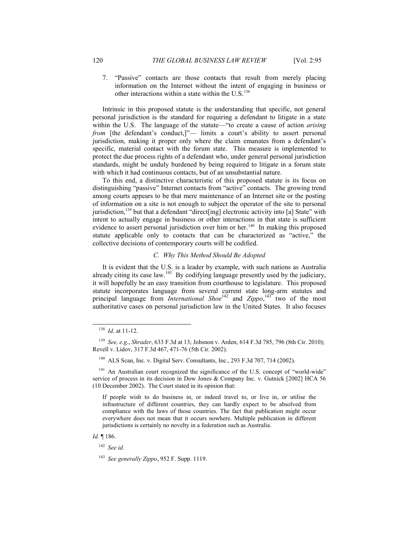7. "Passive" contacts are those contacts that result from merely placing information on the Internet without the intent of engaging in business or other interactions within a state within the U.S. $^{138}$ 

Intrinsic in this proposed statute is the understanding that specific, not general personal jurisdiction is the standard for requiring a defendant to litigate in a state within the U.S. The language of the statute—"to create a cause of action *arising from* [the defendant's conduct,]"— limits a court's ability to assert personal jurisdiction, making it proper only where the claim emanates from a defendant's specific, material contact with the forum state. This measure is implemented to protect the due process rights of a defendant who, under general personal jurisdiction standards, might be unduly burdened by being required to litigate in a forum state with which it had continuous contacts, but of an unsubstantial nature.

To this end, a distinctive characteristic of this proposed statute is its focus on distinguishing "passive" Internet contacts from "active" contacts. The growing trend among courts appears to be that mere maintenance of an Internet site or the posting of information on a site is not enough to subject the operator of the site to personal jurisdiction,<sup>139</sup> but that a defendant "direct [ing] electronic activity into [a] State" with intent to actually engage in business or other interactions in that state is sufficient evidence to assert personal jurisdiction over him or her.<sup>140</sup> In making this proposed statute applicable only to contacts that can be characterized as "active," the collective decisions of contemporary courts will be codified.

# *C. Why This Method Should Be Adopted*

It is evident that the U.S. is a leader by example, with such nations as Australia already citing its case law.<sup>141</sup> By codifying language presently used by the judiciary, it will hopefully be an easy transition from courthouse to legislature. This proposed statute incorporates language from several current state long-arm statutes and principal language from *International Shoe*<sup>142</sup> and *Zippo*,<sup>143</sup> two of the most authoritative cases on personal jurisdiction law in the United States. It also focuses

 $\overline{\phantom{a}}$ 

*Id.* ¶ 186.

<sup>142</sup> *See id*.

<sup>138</sup> *Id*. at 11-12.

<sup>139</sup> *See, e*.*g*., *Shrader*, 633 F.3d at 13; Johsnon v. Arden, 614 F.3d 785, 796 (8th Cir. 2010); Revell v. Lidov, 317 F.3d 467, 471-76 (5th Cir. 2002).

 $140$  ALS Scan, Inc. v. Digital Serv. Consultants, Inc., 293 F.3d 707, 714 (2002).

<sup>&</sup>lt;sup>141</sup> An Australian court recognized the significance of the U.S. concept of "world-wide" service of process in its decision in Dow Jones & Company Inc. v. Gutnick [2002] HCA 56 (10 December 2002). The Court stated in its opinion that:

If people wish to do business in, or indeed travel to, or live in, or utilise the infrastructure of different countries, they can hardly expect to be absolved from compliance with the laws of those countries. The fact that publication might occur everywhere does not mean that it occurs nowhere. Multiple publication in different jurisdictions is certainly no novelty in a federation such as Australia.

<sup>143</sup> *See generally Zippo*, 952 F. Supp. 1119.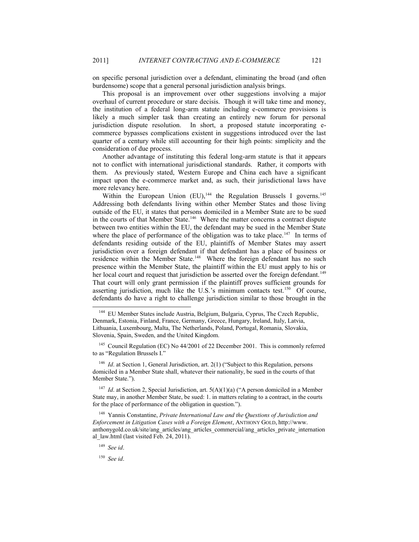on specific personal jurisdiction over a defendant, eliminating the broad (and often burdensome) scope that a general personal jurisdiction analysis brings.

This proposal is an improvement over other suggestions involving a major overhaul of current procedure or stare decisis. Though it will take time and money, the institution of a federal long-arm statute including e-commerce provisions is likely a much simpler task than creating an entirely new forum for personal jurisdiction dispute resolution. In short, a proposed statute incorporating ecommerce bypasses complications existent in suggestions introduced over the last quarter of a century while still accounting for their high points: simplicity and the consideration of due process.

Another advantage of instituting this federal long-arm statute is that it appears not to conflict with international jurisdictional standards. Rather, it comports with them. As previously stated, Western Europe and China each have a significant impact upon the e-commerce market and, as such, their jurisdictional laws have more relevancy here.

Within the European Union  $(EU)$ ,<sup>144</sup> the Regulation Brussels I governs.<sup>145</sup> Addressing both defendants living within other Member States and those living outside of the EU, it states that persons domiciled in a Member State are to be sued in the courts of that Member State.<sup>146</sup> Where the matter concerns a contract dispute between two entities within the EU, the defendant may be sued in the Member State where the place of performance of the obligation was to take place.<sup>147</sup> In terms of defendants residing outside of the EU, plaintiffs of Member States may assert jurisdiction over a foreign defendant if that defendant has a place of business or residence within the Member State.<sup>148</sup> Where the foreign defendant has no such presence within the Member State, the plaintiff within the EU must apply to his or her local court and request that jurisdiction be asserted over the foreign defendant.<sup>149</sup> That court will only grant permission if the plaintiff proves sufficient grounds for asserting jurisdiction, much like the U.S.'s minimum contacts test.<sup>150</sup> Of course, defendants do have a right to challenge jurisdiction similar to those brought in the

<sup>146</sup> *Id.* at Section 1, General Jurisdiction, art. 2(1) ("Subject to this Regulation, persons domiciled in a Member State shall, whatever their nationality, be sued in the courts of that Member State.").

<sup>&</sup>lt;sup>144</sup> EU Member States include Austria, Belgium, Bulgaria, Cyprus, The Czech Republic, Denmark, Estonia, Finland, France, Germany, Greece, Hungary, Ireland, Italy, Latvia, Lithuania, Luxembourg, Malta, The Netherlands, Poland, Portugal, Romania, Slovakia, Slovenia, Spain, Sweden, and the United Kingdom.

Council Regulation (EC) No 44/2001 of 22 December 2001. This is commonly referred to as "Regulation Brussels I."

<sup>&</sup>lt;sup>147</sup> *Id.* at Section 2, Special Jurisdiction, art.  $5(A)(1)(a)$  ("A person domiciled in a Member State may, in another Member State, be sued: 1. in matters relating to a contract, in the courts for the place of performance of the obligation in question.").

<sup>148</sup> Yannis Constantine, *Private International Law and the Questions of Jurisdiction and Enforcement in Litigation Cases with a Foreign Element*, ANTHONY GOLD, http://www. anthonygold.co.uk/site/ang\_articles/ang\_articles\_commercial/ang\_articles\_private\_internation al\_law.html (last visited Feb. 24, 2011).

<sup>149</sup> *See id*.

<sup>150</sup> *See id*.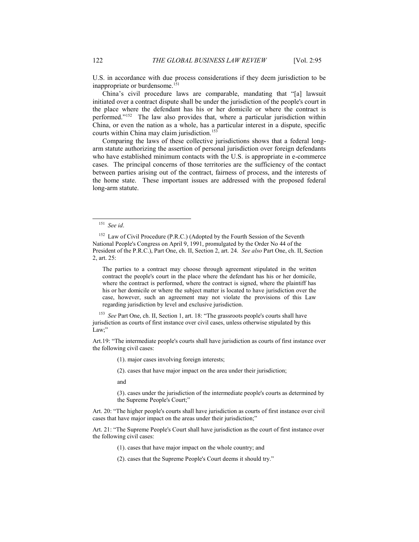U.S. in accordance with due process considerations if they deem jurisdiction to be inappropriate or burdensome.<sup>151</sup>

China's civil procedure laws are comparable, mandating that "[a] lawsuit initiated over a contract dispute shall be under the jurisdiction of the people's court in the place where the defendant has his or her domicile or where the contract is performed."<sup>152</sup> The law also provides that, where a particular jurisdiction within China, or even the nation as a whole, has a particular interest in a dispute, specific courts within China may claim jurisdiction.<sup>153</sup>

Comparing the laws of these collective jurisdictions shows that a federal longarm statute authorizing the assertion of personal jurisdiction over foreign defendants who have established minimum contacts with the U.S. is appropriate in e-commerce cases. The principal concerns of those territories are the sufficiency of the contact between parties arising out of the contract, fairness of process, and the interests of the home state. These important issues are addressed with the proposed federal long-arm statute.

 $\overline{\phantom{a}}$ 

The parties to a contract may choose through agreement stipulated in the written contract the people's court in the place where the defendant has his or her domicile, where the contract is performed, where the contract is signed, where the plaintiff has his or her domicile or where the subject matter is located to have jurisdiction over the case, however, such an agreement may not violate the provisions of this Law regarding jurisdiction by level and exclusive jurisdiction.

<sup>153</sup> See Part One, ch. II, Section 1, art. 18: "The grassroots people's courts shall have jurisdiction as courts of first instance over civil cases, unless otherwise stipulated by this Law;"

Art.19: "The intermediate people's courts shall have jurisdiction as courts of first instance over the following civil cases:

(1). major cases involving foreign interests;

(2). cases that have major impact on the area under their jurisdiction;

and

(3). cases under the jurisdiction of the intermediate people's courts as determined by the Supreme People's Court;"

Art. 20: "The higher people's courts shall have jurisdiction as courts of first instance over civil cases that have major impact on the areas under their jurisdiction;"

Art. 21: "The Supreme People's Court shall have jurisdiction as the court of first instance over the following civil cases:

(1). cases that have major impact on the whole country; and

(2). cases that the Supreme People's Court deems it should try."

<sup>151</sup> *See id*.

 $152$  Law of Civil Procedure (P.R.C.) (Adopted by the Fourth Session of the Seventh National People's Congress on April 9, 1991, promulgated by the Order No 44 of the President of the P.R.C.), Part One, ch. II, Section 2, art. 24. *See also* Part One, ch. II, Section 2, art. 25: